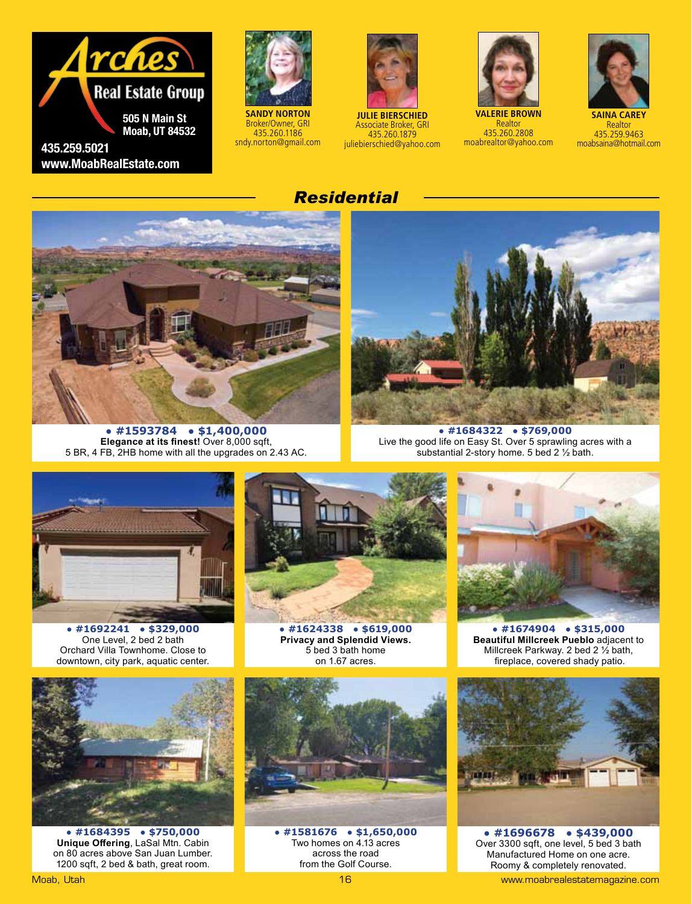



**SANDY NORTON** Broker/Owner, GRI 435.260.1186 sndy.norton@gmail.com



**JULIE BIERSCHIED** Associate Broker, GRI 435.260.1879 juliebierschied@yahoo.com



**VALERIE BROWN Realtor** 435.260.2808 moabrealtor@yahoo.com



**SAINA CAREY** Realtor 435.259.9463 moabsaina@hotmail.com

## *Residential*



**● #1593784 ● \$1,400,000 Elegance at its finest!** Over 8,000 sqft, 5 BR, 4 FB, 2HB home with all the upgrades on 2.43 AC.



**● #1684322 ● \$769,000** Live the good life on Easy St. Over 5 sprawling acres with a substantial 2-story home. 5 bed 2 ½ bath.



**● #1692241 ● \$329,000** One Level, 2 bed 2 bath Orchard Villa Townhome. Close to downtown, city park, aquatic center.



**● #1684395 ● \$750,000 Unique Offering**, LaSal Mtn. Cabin on 80 acres above San Juan Lumber. 1200 sqft, 2 bed & bath, great room.



**● #1624338 ● \$619,000 Privacy and Splendid Views.** 5 bed 3 bath home on 1.67 acres.



**● #1674904 ● \$315,000 Beautiful Millcreek Pueblo** adjacent to Millcreek Parkway. 2 bed 2 ½ bath, fireplace, covered shady patio.



**● #1581676 ● \$1,650,000** Two homes on 4.13 acres across the road from the Golf Course.



**● #1696678 ● \$439,000** Over 3300 sqft, one level, 5 bed 3 bath Manufactured Home on one acre. Roomy & completely renovated. Moab, Utah 16 www.moabrealestatemagazine.com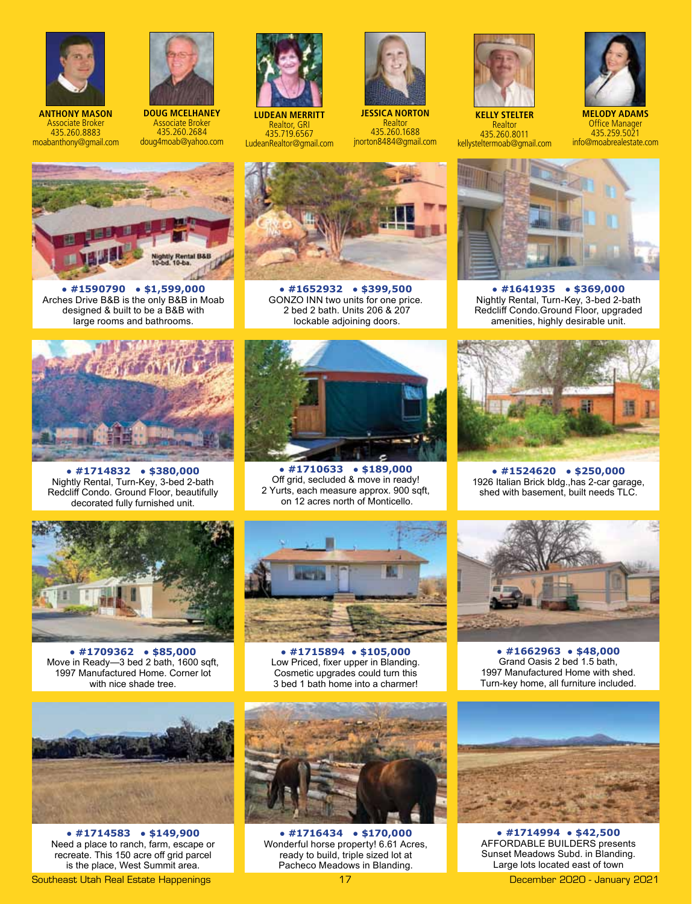

**ANTHONY MASON** Associate Broker 435.260.8883 moabanthony@gmail.com



**DOUG MCELHANEY** Associate Broker 435.260.2684 doug4moab@yahoo.com



**LUDEAN MERRITT** Realtor, GRI 435.719.6567 LudeanRealtor@gmail.com



**JESSICA NORTON** Realtor 435.260.1688 jnorton8484@gmail.com



**Realtor** 435.260.8011 kellysteltermoab@gmail.com



**MELODY ADAMS** Office Manager 435.259.5021 info@moabrealestate.com



**● #1590790 ● \$1,599,000** Arches Drive B&B is the only B&B in Moab designed & built to be a B&B with large rooms and bathrooms.



**● #1652932 ● \$399,500** GONZO INN two units for one price. 2 bed 2 bath. Units 206 & 207 lockable adjoining doors.



**● #1714832 ● \$380,000** Nightly Rental, Turn-Key, 3-bed 2-bath Redcliff Condo. Ground Floor, beautifully decorated fully furnished unit.



**● #1710633 ● \$189,000** Off grid, secluded & move in ready! 2 Yurts, each measure approx. 900 sqft, on 12 acres north of Monticello.



**● #1641935 ● \$369,000** Nightly Rental, Turn-Key, 3-bed 2-bath Redcliff Condo.Ground Floor, upgraded amenities, highly desirable unit.



**● #1524620 ● \$250,000** 1926 Italian Brick bldg.,has 2-car garage, shed with basement, built needs TLC.



**● #1709362 ● \$85,000** Move in Ready—3 bed 2 bath, 1600 sqft, 1997 Manufactured Home. Corner lot with nice shade tree.



**● #1714583 ● \$149,900** Need a place to ranch, farm, escape or recreate. This 150 acre off grid parcel is the place, West Summit area.

Southeast Utah Real Estate Happenings 17 December 2020 - January 2021



**● #1715894 ● \$105,000** Low Priced, fixer upper in Blanding. Cosmetic upgrades could turn this 3 bed 1 bath home into a charmer!



**● #1662963 ● \$48,000**  Grand Oasis 2 bed 1.5 bath, 1997 Manufactured Home with shed. Turn-key home, all furniture included.



**● #1716434 ● \$170,000** Wonderful horse property! 6.61 Acres, ready to build, triple sized lot at Pacheco Meadows in Blanding.



**● #1714994 ● \$42,500** AFFORDABLE BUILDERS presents Sunset Meadows Subd. in Blanding. Large lots located east of town